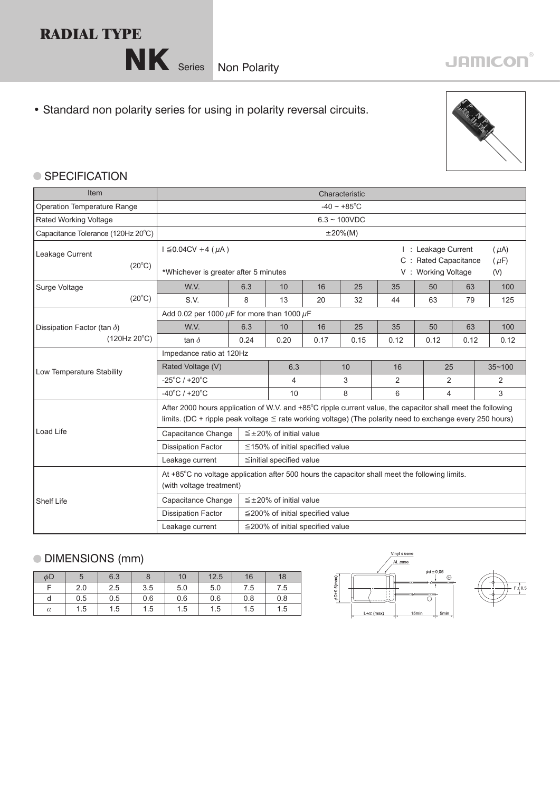## **RADIAL TYPE**

NK Series Non Polarity

## • Standard non polarity series for using in polarity reversal circuits.



## ● SPECIFICATION

| Item                                               | Characteristic                                                                                                                                                                                                                |                |                                        |      |  |      |      |                |                                                                      |   |                               |
|----------------------------------------------------|-------------------------------------------------------------------------------------------------------------------------------------------------------------------------------------------------------------------------------|----------------|----------------------------------------|------|--|------|------|----------------|----------------------------------------------------------------------|---|-------------------------------|
| Operation Temperature Range                        | $-40 \sim +85^{\circ}$ C                                                                                                                                                                                                      |                |                                        |      |  |      |      |                |                                                                      |   |                               |
| Rated Working Voltage                              | $6.3 - 100VDC$                                                                                                                                                                                                                |                |                                        |      |  |      |      |                |                                                                      |   |                               |
| Capacitance Tolerance (120Hz 20°C)                 |                                                                                                                                                                                                                               | $\pm 20\%$ (M) |                                        |      |  |      |      |                |                                                                      |   |                               |
| Leakage Current<br>$(20^{\circ}C)$                 | $I \leq 0.04CV + 4 (µA)$<br>$C$ :<br>*Whichever is greater after 5 minutes                                                                                                                                                    |                |                                        |      |  |      |      |                | I: Leakage Current<br><b>Rated Capacitance</b><br>V: Working Voltage |   | $(\mu A)$<br>$(\mu F)$<br>(V) |
| Surge Voltage                                      | W.V.                                                                                                                                                                                                                          | 6.3            | 10                                     | 16   |  | 25   | 35   | 50             | 63                                                                   |   | 100                           |
| $(20^{\circ}C)$                                    | S.V.                                                                                                                                                                                                                          | 8              | 13                                     | 20   |  | 32   | 44   | 63             | 79                                                                   |   | 125                           |
|                                                    | Add 0.02 per 1000 $\mu$ F for more than 1000 $\mu$ F                                                                                                                                                                          |                |                                        |      |  |      |      |                |                                                                      |   |                               |
| Dissipation Factor (tan $\delta$ )<br>(120Hz 20°C) | W.V.                                                                                                                                                                                                                          | 6.3            | 10                                     | 16   |  | 25   | 35   | 50             | 63                                                                   |   | 100                           |
|                                                    | tan $\delta$                                                                                                                                                                                                                  | 0.24           | 0.20                                   | 0.17 |  | 0.15 | 0.12 | 0.12           | 0.12                                                                 |   | 0.12                          |
|                                                    | Impedance ratio at 120Hz                                                                                                                                                                                                      |                |                                        |      |  |      |      |                |                                                                      |   |                               |
| Low Temperature Stability                          | Rated Voltage (V)                                                                                                                                                                                                             |                | 6.3                                    |      |  | 10   | 16   | 25             |                                                                      |   | $35 - 100$                    |
|                                                    | $-25^{\circ}$ C / +20 $^{\circ}$ C                                                                                                                                                                                            |                | 4                                      |      |  | 3    | 2    | $\overline{2}$ |                                                                      |   | $\overline{2}$                |
|                                                    | $-40^{\circ}$ C / +20 $^{\circ}$ C                                                                                                                                                                                            |                | 10                                     | 8    |  |      | 6    | 4              |                                                                      | 3 |                               |
|                                                    | After 2000 hours application of W.V. and +85°C ripple current value, the capacitor shall meet the following<br>limits. (DC + ripple peak voltage $\leq$ rate working voltage) (The polarity need to exchange every 250 hours) |                |                                        |      |  |      |      |                |                                                                      |   |                               |
| Load Life                                          | Capacitance Change<br>$\leq \pm 20\%$ of initial value                                                                                                                                                                        |                |                                        |      |  |      |      |                |                                                                      |   |                               |
|                                                    | <b>Dissipation Factor</b><br>$\leq$ 150% of initial specified value                                                                                                                                                           |                |                                        |      |  |      |      |                |                                                                      |   |                               |
|                                                    | Leakage current<br>$\leq$ initial specified value                                                                                                                                                                             |                |                                        |      |  |      |      |                |                                                                      |   |                               |
|                                                    | At +85°C no voltage application after 500 hours the capacitor shall meet the following limits.<br>(with voltage treatment)                                                                                                    |                |                                        |      |  |      |      |                |                                                                      |   |                               |
| <b>Shelf Life</b>                                  | Capacitance Change                                                                                                                                                                                                            |                | $\leq \pm 20\%$ of initial value       |      |  |      |      |                |                                                                      |   |                               |
|                                                    | <b>Dissipation Factor</b>                                                                                                                                                                                                     |                | $\leq$ 200% of initial specified value |      |  |      |      |                |                                                                      |   |                               |
|                                                    | $\leq$ 200% of initial specified value<br>Leakage current                                                                                                                                                                     |                |                                        |      |  |      |      |                |                                                                      |   |                               |

## DIMENSIONS (mm)

| $\phi$ D |     | 6.3 | 8   | 10  | 12.5 | 16  | 18  |
|----------|-----|-----|-----|-----|------|-----|-----|
| −        | 2.0 | 2.5 | 3.5 | 5.0 | 5.0  | 7.5 | 7.5 |
| d        | 0.5 | 0.5 | 0.6 | 0.6 | 0.6  | 0.8 | 0.8 |
| $\alpha$ | 1.5 | 1.5 | 1.5 | 1.5 | 1.5  | 1.5 | 1.5 |